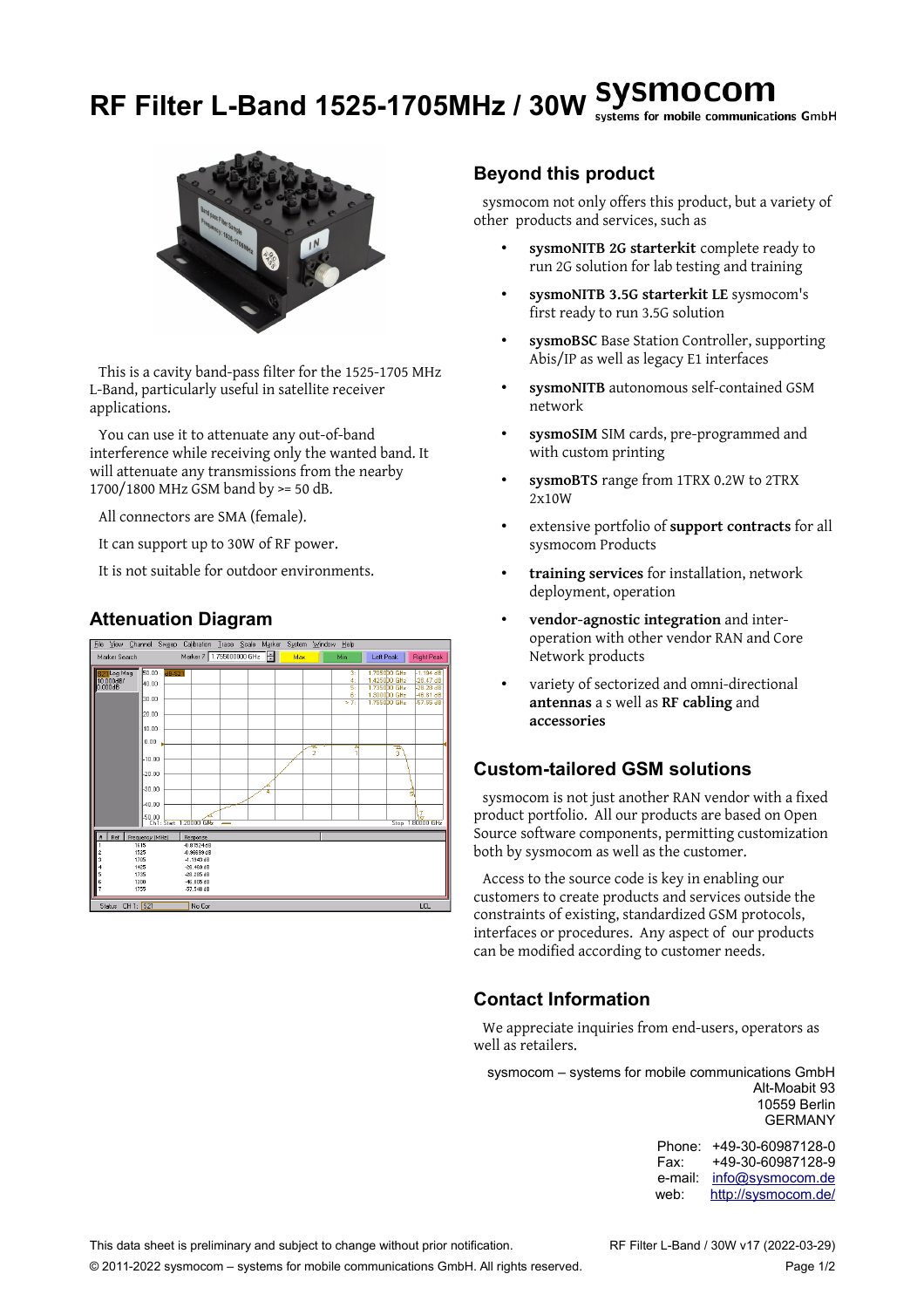# **RF Filter L-Band 1525-1705MHz / 30W** systems for mobile communications GmbH



This is a cavity band-pass filter for the 1525-1705 MHz L-Band, particularly useful in satellite receiver applications.

You can use it to attenuate any out-of-band interference while receiving only the wanted band. It will attenuate any transmissions from the nearby 1700/1800 MHz GSM band by >= 50 dB.

All connectors are SMA (female).

It can support up to 30W of RF power.

It is not suitable for outdoor environments.

#### **Attenuation Diagram**

| File                                | View Channel     |                 | Sweep                      | Calibration                   | Trace Scale Marker |   |     | System Window | Help           |                                              |    |                                          |
|-------------------------------------|------------------|-----------------|----------------------------|-------------------------------|--------------------|---|-----|---------------|----------------|----------------------------------------------|----|------------------------------------------|
| Marker Search                       |                  |                 |                            | Marker 7 1.755000000 GHz      |                    | e | Max |               | <b>Min</b>     | Left Peak                                    |    | <b>Right Peak</b>                        |
| 821 Log Mag<br>10.000dB/<br>0.000dB |                  | 50.00<br>40.00  | <b>dB-S21</b>              |                               |                    |   |     |               | 3:<br>4:<br>5: | 1.7050D0 GHz<br>1.425000 GHz<br>1.735000 GHz |    | $-1.194$ dB<br>$-26.47dB$<br>$-28.28$ dB |
|                                     |                  | l30.00          |                            |                               |                    |   |     |               | 6:<br>>7       | 1.3000D0 GHz<br>1.7550DO GHz                 |    | 46.81 dB<br>-57.55 dB                    |
|                                     |                  | l20.00          |                            |                               |                    |   |     |               |                |                                              |    |                                          |
|                                     |                  | 10.00           |                            |                               |                    |   |     |               |                |                                              |    |                                          |
|                                     |                  | 0.00            |                            |                               |                    |   |     | $\frac{1}{2}$ |                |                                              | A  |                                          |
|                                     |                  | 10.00           |                            |                               |                    |   |     |               |                |                                              | ă. |                                          |
|                                     |                  | lon nn          |                            |                               |                    |   |     |               |                |                                              |    |                                          |
|                                     |                  | k30.00          |                            |                               |                    | 4 |     |               |                |                                              |    | 5                                        |
|                                     |                  | 40.00           |                            |                               |                    |   |     |               |                |                                              |    |                                          |
|                                     |                  | 50.00           |                            | Ch1: Start 1,20000 GHz        |                    |   |     |               |                |                                              |    | IZ.<br>Stop 1.80000 GHz                  |
| Ref                                 |                  | Frequency (MHz) |                            | Response                      |                    |   |     |               |                |                                              |    |                                          |
|                                     | 1615<br>1525     |                 |                            | $-0.81524dB$<br>$-0.96699$ dB |                    |   |     |               |                |                                              |    |                                          |
|                                     | 1705<br>1425     |                 |                            | $-1.1943$ dB<br>$-26.469$ dB  |                    |   |     |               |                |                                              |    |                                          |
| 1735<br>1300<br>6                   |                  |                 | $-28.285$ dB<br>-46.805 dB |                               |                    |   |     |               |                |                                              |    |                                          |
|                                     | 1755             |                 |                            | -57.548 dB                    |                    |   |     |               |                |                                              |    |                                          |
|                                     | Status CH 1: S21 |                 |                            | No Cor                        |                    |   |     |               |                |                                              |    | <b>LCL</b>                               |

#### **Beyond this product**

sysmocom not only offers this product, but a variety of other products and services, such as

- **sysmoNITB 2G starterkit** complete ready to run 2G solution for lab testing and training
- **sysmoNITB 3.5G starterkit LE** sysmocom's first ready to run 3.5G solution
- **sysmoBSC** Base Station Controller, supporting Abis/IP as well as legacy E1 interfaces
- **sysmoNITB** autonomous self-contained GSM network
- **sysmoSIM** SIM cards, pre-programmed and with custom printing
- **sysmoBTS** range from 1TRX 0.2W to 2TRX 2x10W
- extensive portfolio of **support contracts** for all sysmocom Products
- **training services** for installation, network deployment, operation
- **vendor-agnostic integration** and interoperation with other vendor RAN and Core Network products
- variety of sectorized and omni-directional **antennas** a s well as **RF cabling** and **accessories**

## **Custom-tailored GSM solutions**

sysmocom is not just another RAN vendor with a fixed product portfolio. All our products are based on Open Source software components, permitting customization both by sysmocom as well as the customer.

Access to the source code is key in enabling our customers to create products and services outside the constraints of existing, standardized GSM protocols, interfaces or procedures. Any aspect of our products can be modified according to customer needs.

## **Contact Information**

We appreciate inquiries from end-users, operators as well as retailers.

sysmocom – systems for mobile communications GmbH Alt-Moabit 93 10559 Berlin GERMANY

> Phone: +49-30-60987128-0 Fax: +49-30-60987128-9 e-mail: [info@sysmocom.de](mailto:info@sysmocom.de) web: <http://sysmocom.de/>